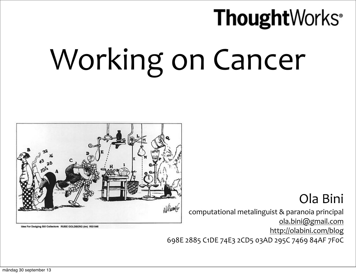### **Thought**Works<sup>®</sup> Working on Cancer



Idea For Dodging Bill Collectors RUBE GOLDBERG (tm) RGI 046

#### Ola Bini

computational metalinguist & paranoia principal [ola.bini@gmail.com](mailto:ola.bini@gmail.com) <http://olabini.com/blog>

698E 2885 C1DE 74E3 2CD5 03AD 295C 7469 84AF 7F0C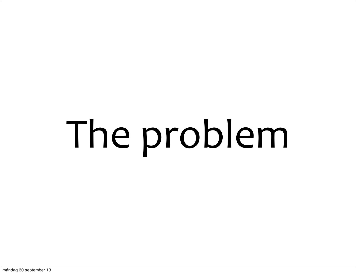# The problem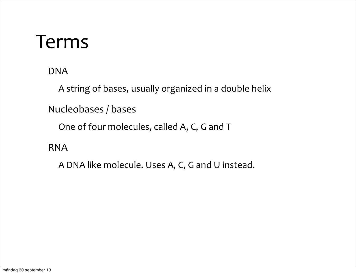#### Terms

DNA

A string of bases, usually organized in a double helix

Nucleobases / bases

One of four molecules, called A, C, G and T

RNA

A DNA like molecule. Uses A, C, G and U instead.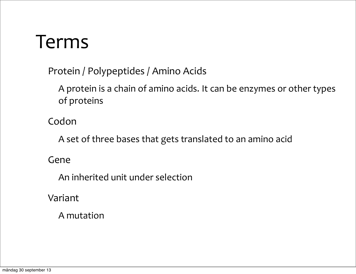#### Terms

Protein / Polypeptides / Amino Acids

A protein is a chain of amino acids. It can be enzymes or other types of proteins

Codon

A set of three bases that gets translated to an amino acid

#### Gene

An inherited unit under selection

Variant

A mutation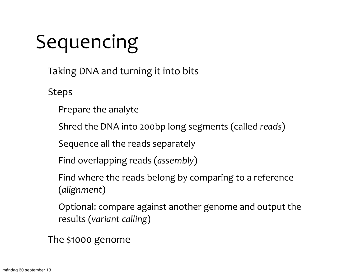### Sequencing

Taking DNA and turning it into bits

Steps

Prepare the analyte

Shred the DNA into 200bp long segments (called *reads*)

Sequence all the reads separately

Find overlapping reads (*assembly*)

Find where the reads belong by comparing to a reference (*alignment*)

Optional: compare against another genome and output the results (*variant calling*)

The \$1000 genome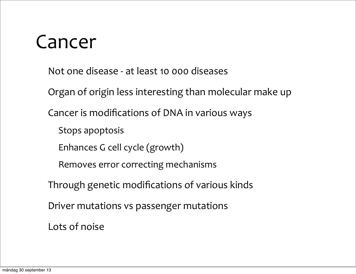#### Cancer

- Not one disease at least 10 000 diseases
- Organ of origin less interesting than molecular make up
- Cancer is modifications of DNA in various ways
	- Stops apoptosis
	- Enhances G cell cycle (growth)
	- Removes error correcting mechanisms
- Through genetic modifications of various kinds
- Driver mutations vs passenger mutations
- Lots of noise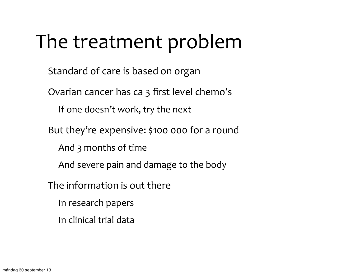### The treatment problem

Standard of care is based on organ

Ovarian cancer has ca 3 first level chemo's

If one doesn't work, try the next

But they're expensive: \$100 000 for a round

And 3 months of time

And severe pain and damage to the body

The information is out there

In research papers

In clinical trial data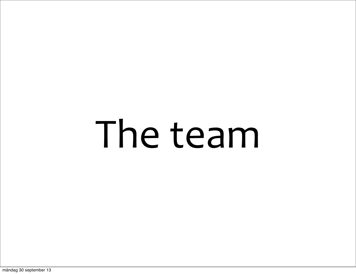### The team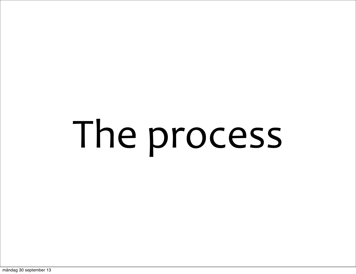# The process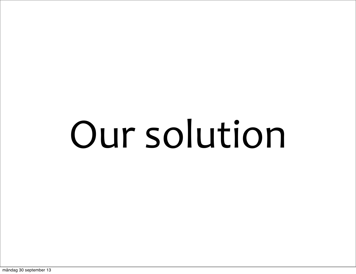## Our solution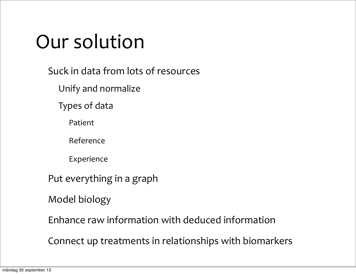### Our solution

Suck in data from lots of resources

Unify and normalize

Types of data

Patient

Reference

Experience

Put everything in a graph

Model biology

Enhance raw information with deduced information

Connect up treatments in relationships with biomarkers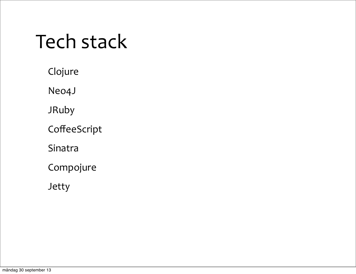### Tech stack

Clojure

Neo4J

JRuby

**CoffeeScript** 

Sinatra

Compojure

Jetty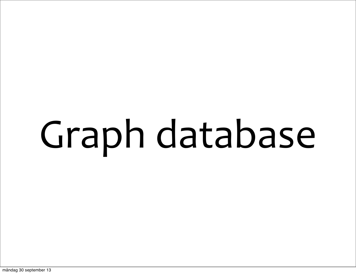# Graph database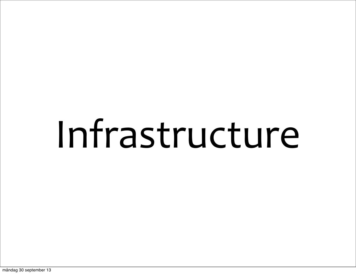### Infrastructure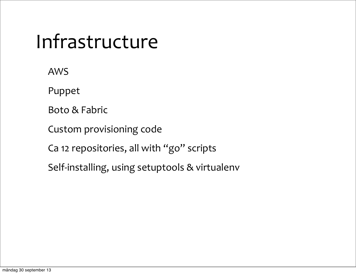### Infrastructure

AWS

Puppet

Boto & Fabric

Custom provisioning code

Ca 12 repositories, all with "go" scripts

Self-installing, using setuptools & virtualenv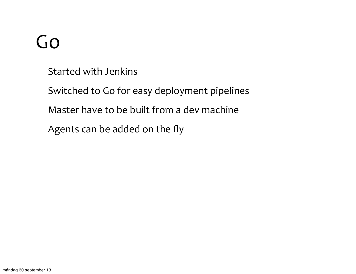### Go

Started with Jenkins

Switched to Go for easy deployment pipelines

Master have to be built from a dev machine

Agents can be added on the fly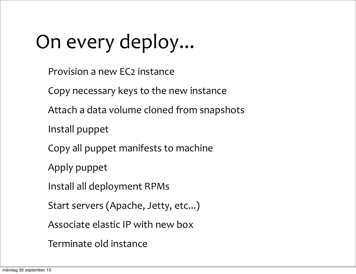### On every deploy...

- Provision a new EC2 instance
- Copy necessary keys to the new instance
- Attach a data volume cloned from snapshots
- Install puppet
- Copy all puppet manifests to machine
- Apply puppet
- Install all deployment RPMs
- Start servers (Apache, Jetty, etc...)
- Associate elastic IP with new box
- Terminate old instance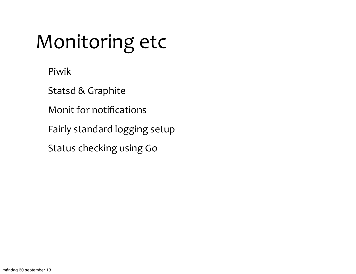### Monitoring etc

Piwik

Statsd & Graphite

Monit for notifications

Fairly standard logging setup

Status checking using Go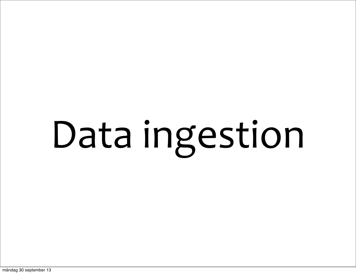# Data ingestion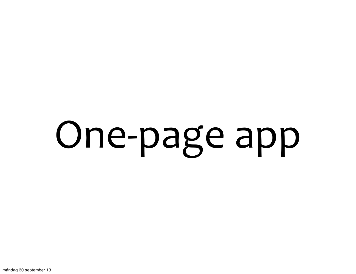# One-page app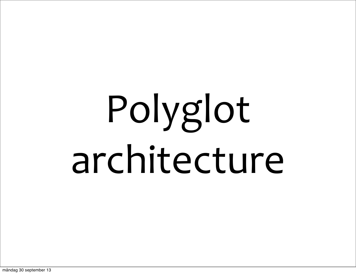## Polyglot architecture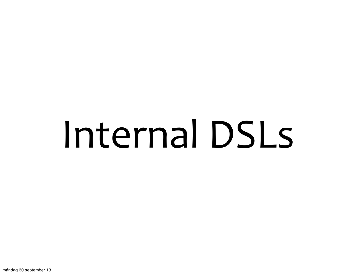### Internal DSLs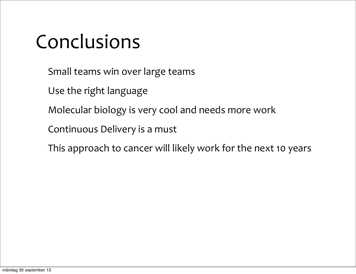### Conclusions

- Small teams win over large teams
- Use the right language
- Molecular biology is very cool and needs more work
- Continuous Delivery is a must
- This approach to cancer will likely work for the next 10 years